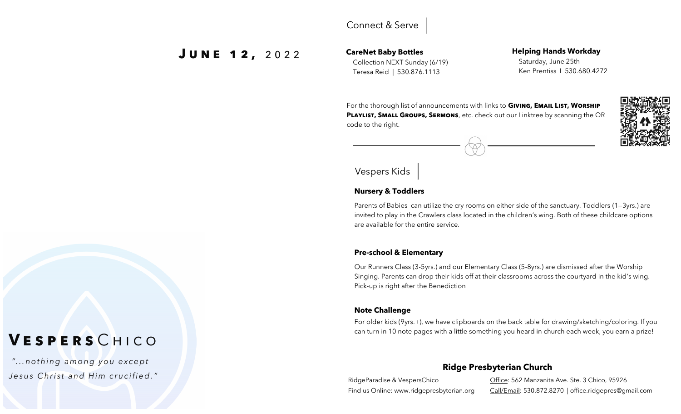### Connect & Serve

# **J u n e 1 2 ,** 2 0 2 2

### **CareNet Baby Bottles** Collection NEXT Sunday (6/19) Teresa Reid | 530.876.1113

#### **Helping Hands Workday** Saturday, June 25th Ken Prentiss I 530.680.4272

For the thorough list of announcements with links to **Giving, Email List, Worship PLAYLIST, SMALL GROUPS, SERMONS**, etc. check out our Linktree by scanning the QR code to the right.

# Vespers Kids

### **Nursery & Toddlers**

Parents of Babies can utilize the cry rooms on either side of the sanctuary. Toddlers (1—3yrs.) are invited to play in the Crawlers class located in the children's wing. Both of these childcare options are available for the entire service.

### **Pre-school & Elementary**

Our Runners Class (3-5yrs.) and our Elementary Class (5-8yrs.) are dismissed after the Worship Singing. Parents can drop their kids off at their classrooms across the courtyard in the kid's wing. Pick-up is right after the Benediction

### **Note Challenge**

For older kids (9yrs.+), we have clipboards on the back table for drawing/sketching/coloring. If you can turn in 10 note pages with a little something you heard in church each week, you earn a prize!

### **Ridge Presbyterian Church**

RidgeParadise & VespersChico Find us Online: www.ridgepresbyterian.org Office: 562 Manzanita Ave. Ste. 3 Chico, 95926 Call/Email: 530.872.8270 | office.ridgepres@gmail.com

# **V e s p e r s** C h i c o

*" . . .n o th i n g a m o ng y o u ex c e pt Jesus Christ and Him crucified.*<sup>"</sup>

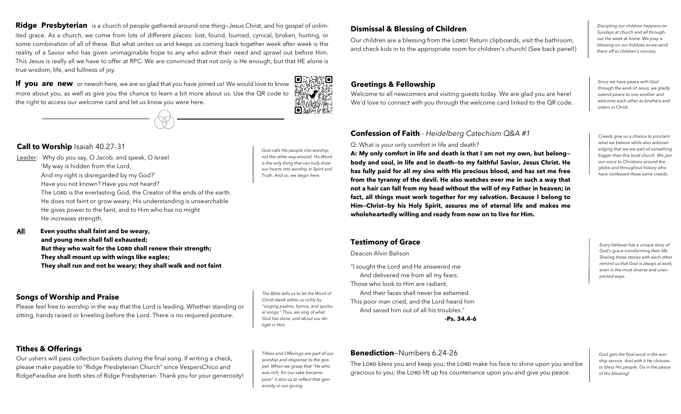**Ridge Presbyterian** is a church of people gathered around one thing—Jesus Christ, and his gospel of unlimited grace. As a church, we come from lots of different places: lost, found, burned, cynical, broken, hurting, or some combination of all of these. But what unites us and keeps us coming back together week after week is the reality of a Savior who has given unimaginable hope to any who admit their need and sprawl out before Him. This Jesus is really all we have to offer at RPC. We are convinced that not only is He enough, but that HE alone is true wisdom, life, and fullness of joy.

**If you are new** or newish here, we are so glad that you have joined us! We would love to know more about you, as well as give you the chance to learn a bit more about us. Use the QR code to the right to access our welcome card and let us know you were here.



*God calls His people into worship, not the other way around. His Word is the only thing that can truly draw our hearts into worship in Spirit and Truth. And so, we begin here.* 

#### **Call to Worship** Isaiah 40.27-31

Leader: Why do you say, O Jacob, and speak, O Israel 'My way is hidden from the Lord, And my right is disregarded by my God?' Have you not known? Have you not heard? The LORD is the everlasting God, the Creator of the ends of the earth. He does not faint or grow weary; His understanding is unsearchable He gives power to the faint, and to Him who has no might He increases strength.

**All**: **Even youths shall faint and be weary, and young men shall fall exhausted;** But they who wait for the LORD shall renew their strength;  **They shall mount up with wings like eagles; They shall run and not be weary; they shall walk and not faint**

#### **Songs of Worship and Praise**

Please feel free to worship in the way that the Lord is leading. Whether standing or sitting, hands raised or kneeling before the Lord. There is no required posture.

**Tithes & Offerings**

Our ushers will pass collection baskets during the final song. If writing a check, please make payable to "Ridge Presbyterian Church" since VespersChico and RidgeParadise are both sites of Ridge Presbyterian. Thank you for your generosity!

*Tithes and Offerings are part of our worship and response to the gospel. When we grasp that "He who was rich, for our sake became poor" it stirs us to reflect that generosity in our giving.*

*The Bible tells us to let the Word of Christ dwell within us richly by "singing psalms, hymns, and spiritual songs." Thus, we sing of what God has done, and about our de-*

*light in Him.* 

#### **Dismissal & Blessing of Children**

Our children are a blessing from the LORD! Return clipboards, visit the bathroom, and check kids in to the appropriate room for children's church! (See back panel!) *Discipling our children happens on Sundays at church and all throughout the week at home. We pray a blessing on our kiddoes as we send them off to children's ministry.* 

#### **Greetings & Fellowship**

Welcome to all newcomers and visiting guests today. We are glad you are here! We'd love to connect with you through the welcome card linked to the QR code. *Since we have peace with God through the work of Jesus, we gladly extend peace to one another and welcome each other as brothers and sisters in Christ.* 

#### **Confession of Faith** - *Heidelberg Catechism Q&A #1*

Q: What is your only comfort in life and death?

**A: My only comfort in life and death is that I am not my own, but belong body and soul, in life and in death—to my faithful Savior, Jesus Christ. He has fully paid for all my sins with His precious blood, and has set me free from the tyranny of the devil. He also watches over me in such a way that not a hair can fall from my head without the will of my Father in heaven; in fact, all things must work together for my salvation. Because I belong to Him—Christ—by his Holy Spirit, assures me of eternal life and makes me wholeheartedly willing and ready from now on to live for Him.** 

*Creeds give us a chance to proclaim what we believe while also acknowledging that we are part of something bigger than this local church. We join our voice to Christians around the globe and throughout history who have confessed these same creeds.*

#### **Testimony of Grace**

Deacon Alvin Balison

"I sought the Lord and He answered me And delivered me from all my fears. Those who look to Him are radiant, And their faces shall never be ashamed. This poor man cried, and the Lord heard him And saved him out of all his troubles."

**-Ps. 34.4-6**

*Every believer has a unique story of God's grace transforming their life. Sharing these stories with each other remind us that God is always at work, even in the most diverse and unexpected ways.* 

**Benediction**—Numbers 6.24-26

The LORD bless you and keep you; the LORD make his face to shine upon you and be gracious to you; the LORD lift up his countenance upon you and give you peace.

*God gets the final word in the worship service. And with it He chooses to bless His people. Go in the peace of His blessing!*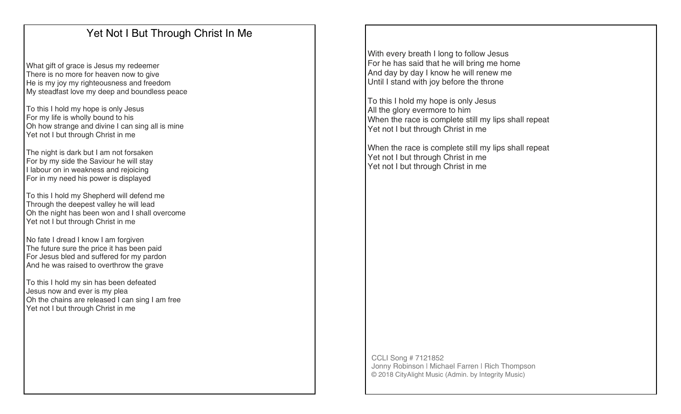# Yet Not I But Through Christ In Me

What gift of grace is Jesus my redeemer There is no more for heaven now to give He is my joy my righteousness and freedom My steadfast love my deep and boundless peace

To this I hold my hope is only Jesus For my life is wholly bound to his Oh how strange and divine I can sing all is mine Yet not I but through Christ in me

The night is dark but I am not forsaken For by my side the Saviour he will stay I labour on in weakness and rejoicing For in my need his power is displayed

To this I hold my Shepherd will defend me Through the deepest valley he will lead Oh the night has been won and I shall overcome Yet not I but through Christ in me

No fate I dread I know I am forgiven The future sure the price it has been paid For Jesus bled and suffered for my pardon And he was raised to overthrow the grave

To this I hold my sin has been defeated Jesus now and ever is my plea Oh the chains are released I can sing I am free Yet not I but through Christ in me

With every breath I long to follow Jesus For he has said that he will bring me home And day by day I know he will renew me Until I stand with joy before the throne

To this I hold my hope is only Jesus All the glory evermore to him When the race is complete still my lips shall repeat Yet not I but through Christ in me

When the race is complete still my lips shall repeat Yet not I but through Christ in me Yet not I but through Christ in me

CCLI Song # 7121852 Jonny Robinson | Michael Farren | Rich Thompson © 2018 CityAlight Music (Admin. by Integrity Music)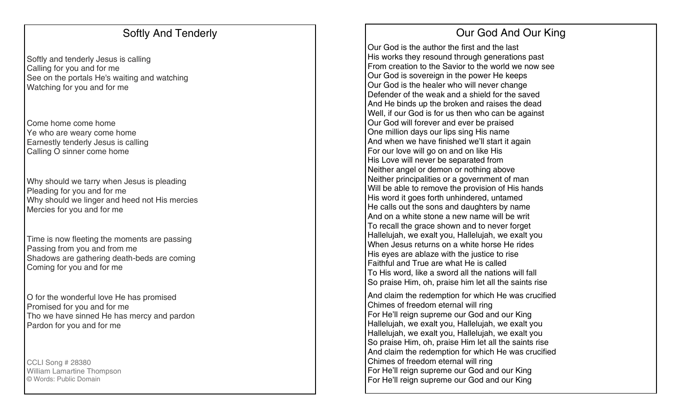### Softly And Tenderly

Softly and tenderly Jesus is calling Calling for you and for me See on the portals He's waiting and watching Watching for you and for me

Come home come home Ye who are weary come home Earnestly tenderly Jesus is calling Calling O sinner come home

Why should we tarry when Jesus is pleading Pleading for you and for me Why should we linger and heed not His mercies Mercies for you and for me

Time is now fleeting the moments are passing Passing from you and from me Shadows are gathering death -beds are coming Coming for you and for me

O for the wonderful love He has promised Promised for you and for me Tho we have sinned He has mercy and pardon Pardon for you and for me

CCLI Song # 28380 William Lamartine Thompson © Words: Public Domain

# Our God And Our King

Our God is the author the first and the last His works they resound through generations past From creation to the Savior to the world we now see Our God is sovereign in the power He keeps Our God is the healer who will never change Defender of the weak and a shield for the saved And He binds up the broken and raises the dead Well, if our God is for us then who can be against Our God will forever and ever be praised One million days our lips sing His name And when we have finished we'll start it again For our love will go on and on like His His Love will never be separated from Neither angel or demon or nothing above Neither principalities or a government of man Will be able to remove the provision of His hands His word it goes forth unhindered, untamed He calls out the sons and daughters by name And on a white stone a new name will be writ To recall the grace shown and to never forget Hallelujah, we exalt you, Hallelujah, we exalt you When Jesus returns on a white horse He rides His eyes are ablaze with the justice to rise Faithful and True are what He is called To His word, like a sword all the nations will fall So praise Him, oh, praise him let all the saints rise

And claim the redemption for which He was crucified Chimes of freedom eternal will ring For He'll reign supreme our God and our King Hallelujah, we exalt you, Hallelujah, we exalt you Hallelujah, we exalt you, Hallelujah, we exalt you So praise Him, oh, praise Him let all the saints rise And claim the redemption for which He was crucified Chimes of freedom eternal will ring For He'll reign supreme our God and our King For He'll reign supreme our God and our King